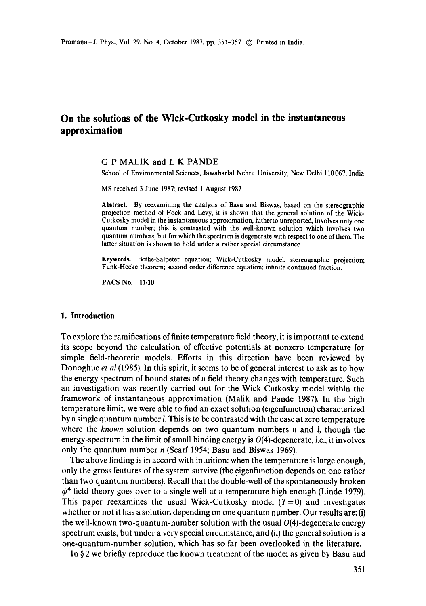# **On the solutions of the Wiek-Cutkosky model in the instantaneous approximation**

#### G P MALIK and L K PANDE

School of Environmental Sciences, Jawaharlal Nehru University, New Delhi 110067, India

MS received 3 June 1987; revised 1 August 1987

**Abstract.** By reexamining the analysis of Basu and Biswas, based on the stereographic projection method of Fock and Levy, it is shown that the general solution of the Wick-Cutkosky model in the instantaneous approximation, hitherto unreported, involves only one quantum number; this is contrasted with the well-known solution which involves two quantum numbers, but for which the spectrum is degenerate with respect to one of them. The latter situation is shown to hold under a rather special circumstance.

**Keywords.** Bethe-Salpeter equation; Wick-Cutkosky model; stereographic projection; Funk-Hecke theorem; second order difference equation; infinite continued fraction.

PACS No. 11-10

#### **1. Introduction**

To explore the ramifications of finite temperature field theory, it is important to extend its scope beyond the calculation of effective potentials at nonzero temperature for simple field-theoretic models. Efforts in this direction have been reviewed by Donoghue *et al* (1985). In this spirit, it seems to be of general interest to ask as to how the energy spectrum of bound states of a field theory changes with temperature. Such an investigation was recently carried out for the Wick-Cutkosky model within the framework of instantaneous approximation (Malik and Pande 1987). In the high temperature limit, we were able to find an exact solution (eigenfunction) characterized by a single quantum number l. This is to be contrasted with the case at zero temperature where the *known* solution depends on two quantum numbers *n* and *l*, though the energy-spectrum in the limit of small binding energy is O(4)-degenerate, i.e., it involves only the quantum number n (Scarf 1954; Basu and Biswas 1969).

The above finding is in accord with intuition: when the temperature is large enough, only the gross features of the system survive (the eigenfunction depends on one rather than two quantum numbers). Recall that the double-well of the spontaneously broken  $\phi^4$  field theory goes over to a single well at a temperature high enough (Linde 1979). This paper reexamines the usual Wick-Cutkosky model  $(T=0)$  and investigates whether or not it has a solution depending on one quantum number. Our results are: (i) the well-known two-quantum-number solution with the usual  $O(4)$ -degenerate energy spectrum exists, but under a very special circumstance, and (ii) the general solution is a one-quantum-number solution, which has so far been overlooked in the literature.

In § 2 we briefly reproduce the known treatment of the model as given by Basu and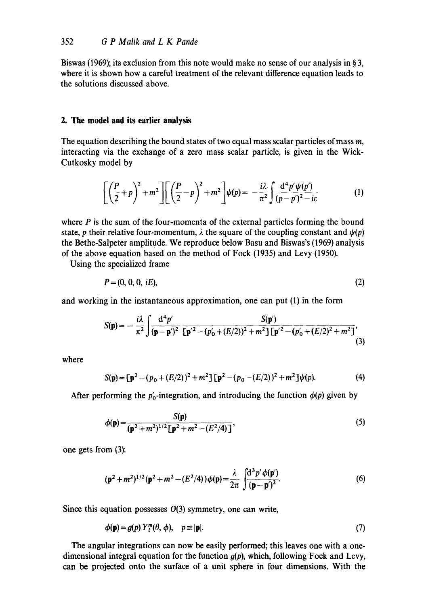Biswas (1969); its exclusion from this note would make no sense of our analysis in § 3, where it is shown how a careful treatment of the relevant difference equation leads to the solutions discussed above.

## **2. The model and its earlier analysis**

The equation describing the bound states of two equal mass scalar particles of mass m, interacting via the exchange of a zero mass scalar particle, is given in the Wick-Cutkosky model by

$$
\left[\left(\frac{P}{2}+p\right)^2+m^2\right]\left[\left(\frac{P}{2}-p\right)^2+m^2\right]\psi(p)=-\frac{i\lambda}{\pi^2}\int\frac{\mathrm{d}^4p'\psi(p')}{(p-p')^2-i\varepsilon}\tag{1}
$$

where  $P$  is the sum of the four-momenta of the external particles forming the bound state, p their relative four-momentum,  $\lambda$  the square of the coupling constant and  $\psi(p)$ the Bethe-Salpeter amplitude. We reproduce below Basu and Biswas's (1969) analysis of the above equation based on the method of Fock (1935) and Levy (1950).

Using the specialized frame

$$
P = (0, 0, 0, iE), \tag{2}
$$

and working in the instantaneous approximation, one can put (1) in the form

$$
S(\mathbf{p}) = -\frac{i\lambda}{\pi^2} \int \frac{\mathrm{d}^4 p'}{(\mathbf{p} - \mathbf{p}')^2} \frac{S(\mathbf{p}')}{[\mathbf{p}'^2 - (p'_0 + (E/2))^2 + m^2] [\mathbf{p}'^2 - (p'_0 + (E/2)^2 + m^2]},
$$
\n(3)

where

$$
S(\mathbf{p}) = \left[\mathbf{p}^2 - (p_0 + (E/2))^2 + m^2\right] \left[\mathbf{p}^2 - (p_0 - (E/2))^2 + m^2\right] \psi(p). \tag{4}
$$

After performing the  $p'_0$ -integration, and introducing the function  $\phi(p)$  given by

$$
\phi(\mathbf{p}) = \frac{S(\mathbf{p})}{(\mathbf{p}^2 + m^2)^{1/2} [\mathbf{p}^2 + m^2 - (E^2/4)]},
$$
\n(5)

one gets from (3):

$$
(\mathbf{p}^2 + m^2)^{1/2} (\mathbf{p}^2 + m^2 - (E^2/4)) \phi(\mathbf{p}) = \frac{\lambda}{2\pi} \int \frac{d^3 p' \phi(\mathbf{p}')}{(\mathbf{p} - \mathbf{p}')^2}.
$$
 (6)

Since this equation possesses  $O(3)$  symmetry, one can write,

$$
\phi(\mathbf{p}) = g(p) Y_l^m(\theta, \phi), \quad p \equiv |\mathbf{p}|. \tag{7}
$$

The angular integrations can now be easily performed; this leaves one with a onedimensional integral equation for the function  $g(p)$ , which, following Fock and Levy, can be projected onto the surface of a unit sphere in four dimensions. With the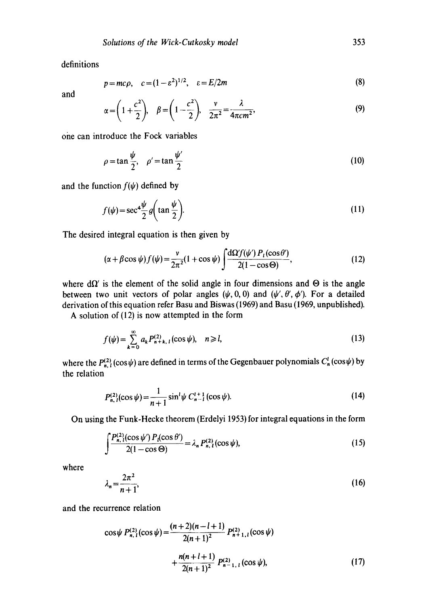definitions

$$
p = mc\rho, \quad c = (1 - \varepsilon^2)^{1/2}, \quad \varepsilon = E/2m \tag{8}
$$

and

$$
\alpha = \left(1 + \frac{c^2}{2}\right), \quad \beta = \left(1 - \frac{c^2}{2}\right), \quad \frac{v}{2\pi^2} = \frac{\lambda}{4\pi c m^2},\tag{9}
$$

one can introduce the Fock variables

$$
\rho = \tan \frac{\psi}{2}, \quad \rho' = \tan \frac{\psi'}{2} \tag{10}
$$

and the function  $f(\psi)$  defined by

$$
f(\psi) = \sec^4 \frac{\psi}{2} g\left(\tan \frac{\psi}{2}\right).
$$
 (11)

The desired integral equation is then given by

$$
(\alpha + \beta \cos \psi) f(\psi) = \frac{v}{2\pi^2} (1 + \cos \psi) \int \frac{\mathrm{d}\Omega' f(\psi') P_t(\cos \theta')}{2(1 - \cos \Theta)},
$$
(12)

where  $d\Omega'$  is the element of the solid angle in four dimensions and  $\Theta$  is the angle between two unit vectors of polar angles  $(\psi, 0, 0)$  and  $(\psi', \theta', \phi')$ . For a detailed derivation of this equation refer Basu and Biswas (1969) and Basu (1969, unpublished).

A solution of (12) is now attempted in the form

$$
f(\psi) = \sum_{k=0}^{\infty} a_k P_{n+k,1}^{(2)}(\cos \psi), \quad n \ge l,
$$
 (13)

where the  $P_{n, l}^{(2)}(\cos \psi)$  are defined in terms of the Gegenbauer polynomials  $C_n^l(\cos \psi)$  by the relation

$$
P_{n, l}^{(2)}(\cos \psi) = \frac{1}{n+1} \sin^l \psi \ C_{n-l}^{l+1} (\cos \psi). \tag{14}
$$

On using the Funk-Hecke theorem (Erdelyi 1953) for integral equations in the form

$$
\int \frac{P_{n,1}^{(2)}(\cos \psi') P_l(\cos \theta')}{2(1 - \cos \Theta)} = \lambda_n P_{n,1}^{(2)}(\cos \psi),\tag{15}
$$

where

$$
\lambda_n = \frac{2\pi^2}{n+1},\tag{16}
$$

and the recurrence relation

$$
\cos\psi P_{n, l}^{(2)}(\cos\psi) = \frac{(n+2)(n-l+1)}{2(n+1)^2} P_{n+1, l}^{(2)}(\cos\psi) + \frac{n(n+l+1)}{2(n+1)^2} P_{n-1, l}^{(2)}(\cos\psi),
$$
 (17)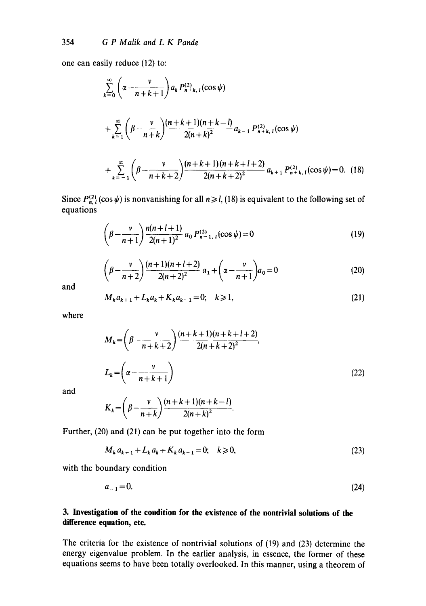one can easily reduce (12) to:

$$
\sum_{k=0}^{\infty} \left( \alpha - \frac{v}{n+k+1} \right) a_k P_{n+k, l}^{(2)}(\cos \psi)
$$
  
+ 
$$
\sum_{k=1}^{\infty} \left( \beta - \frac{v}{n+k} \right) \frac{(n+k+1)(n+k-l)}{2(n+k)^2} a_{k-1} P_{n+k, l}^{(2)}(\cos \psi)
$$
  
+ 
$$
\sum_{k=-1}^{\infty} \left( \beta - \frac{v}{n+k+2} \right) \frac{(n+k+1)(n+k+l+2)}{2(n+k+2)^2} a_{k+1} P_{n+k, l}^{(2)}(\cos \psi) = 0.
$$
 (18)

Since  $P_{n,1}^{(2)}(\cos \psi)$  is nonvanishing for all  $n \ge l$ , (18) is equivalent to the following set of equations

$$
\left(\beta - \frac{v}{n+1}\right) \frac{n(n+l+1)}{2(n+1)^2} a_0 P_{n-1,\,l}^{(2)}(\cos \psi) = 0 \tag{19}
$$

$$
\left(\beta - \frac{v}{n+2}\right) \frac{(n+1)(n+l+2)}{2(n+2)^2} a_1 + \left(\alpha - \frac{v}{n+1}\right) a_0 = 0 \tag{20}
$$

and

$$
M_k a_{k+1} + L_k a_k + K_k a_{k-1} = 0; \quad k \ge 1,
$$
\n(21)

where

$$
M_k = \left(\beta - \frac{v}{n+k+2}\right) \frac{(n+k+1)(n+k+l+2)}{2(n+k+2)^2},
$$
  

$$
L_k = \left(\alpha - \frac{v}{n+k+1}\right)
$$
 (22)

and

$$
K_k = \left(\beta - \frac{v}{n+k}\right) \frac{(n+k+1)(n+k-l)}{2(n+k)^2}.
$$

Further, (20) and (21) can be put together into the form

$$
M_k a_{k+1} + L_k a_k + K_k a_{k-1} = 0; \quad k \ge 0,
$$
\n(23)

with the boundary condition

$$
a_{-1} = 0.\t(24)
$$

## 3. Investigation of the condition for the existence of the nontrivial solutions of the **difference equation, etc.**

The criteria for the existence of nontrivial solutions of (19) and (23) determine the energy eigenvalue problem. In the earlier analysis, in essence, the former of these equations seems to have been totally overlooked. In this manner, using a theorem of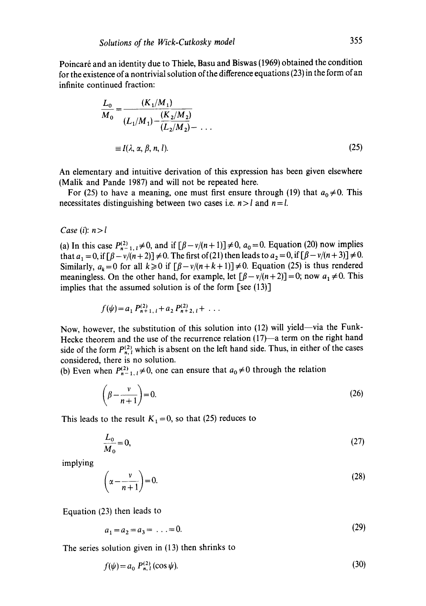Poincar6 and an identity due to Thiele, Basu and Biswas (1969) obtained the condition for the existence of a nontrivial solution of the difference equations (23) in the form of an infinite continued fraction:

$$
\frac{L_0}{M_0} = \frac{(K_1/M_1)}{(L_1/M_1) - \frac{(K_2/M_2)}{(L_2/M_2)}} - \dots
$$
  

$$
\equiv I(\lambda, \alpha, \beta, n, l).
$$
 (25)

An elementary and intuitive derivation of this expression has been given elsewhere (Malik and Pande 1987) and will not be repeated here.

For (25) to have a meaning, one must first ensure through (19) that  $a_0 \neq 0$ . This necessitates distinguishing between two cases i.e.  $n > l$  and  $n = l$ .

#### *Case* (i):  $n > l$

(a) In this case  $P_{n-1, l}^{(2)} \neq 0$ , and if  $[\beta - v/(n + 1)] \neq 0$ ,  $a_0 = 0$ . Equation (20) now implies that  $a_1 = 0$ , if  $[\beta - v/(n + 2)] \neq 0$ . The first of (21) then leads to  $a_2 = 0$ , if  $[\beta - v/(n + 3)] \neq 0$ . Similarly,  $a_k=0$  for all  $k\geq 0$  if  $\left[\beta-v/(n+k+1)\right]\neq 0$ . Equation (25) is thus rendered meaningless. On the other hand, for example, let  $[\beta-v/(n+2)] = 0$ ; now  $a_1 \neq 0$ . This implies that the assumed solution is of the form [see (13)]

$$
f(\psi) = a_1 P_{n+1, l}^{(2)} + a_2 P_{n+2, l}^{(2)} + \ldots
$$

Now, however, the substitution of this solution into (12) will yield-via the Funk-Hecke theorem and the use of the recurrence relation (17)-a term on the right hand side of the form  $P_{n,l}^{(2)}$  which is absent on the left hand side. Thus, in either of the cases considered, there is no solution.

(b) Even when  $P_{n-1, l}^{(2)} \neq 0$ , one can ensure that  $a_0 \neq 0$  through the relation

$$
\left(\beta - \frac{\nu}{n+1}\right) = 0.\tag{26}
$$

This leads to the result  $K_1 = 0$ , so that (25) reduces to

$$
\frac{L_0}{M_0} = 0,\t\t(27)
$$

implying

$$
\left(\alpha - \frac{v}{n+1}\right) = 0.\tag{28}
$$

Equation (23) then leads to

 $a_1 = a_2 = a_3 = \ldots = 0$ . (29)

The series solution given in (13) then shrinks to

$$
f(\psi) = a_0 \ P_{n,1}^{(2)}(\cos \psi). \tag{30}
$$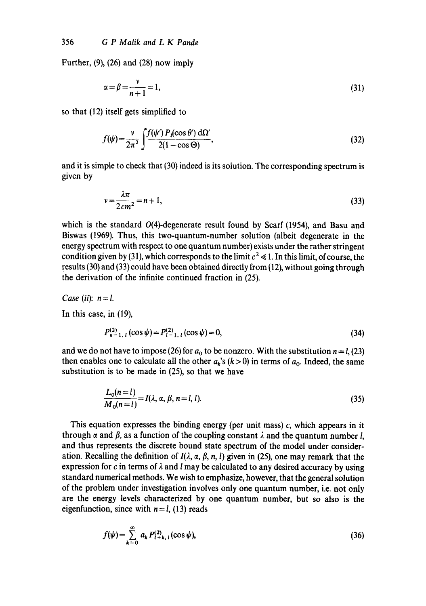Further,  $(9)$ ,  $(26)$  and  $(28)$  now imply

$$
\alpha = \beta = \frac{v}{n+1} = 1,\tag{31}
$$

so that (12) itself gets simplified to

$$
f(\psi) = \frac{v}{2\pi^2} \int \frac{f(\psi') P_I(\cos \theta') d\Omega'}{2(1 - \cos \Theta)},
$$
\n(32)

and it is simple to check that (30) indeed is its solution. The corresponding spectrum is given by

$$
v = \frac{\lambda \pi}{2cm^2} = n + 1,\tag{33}
$$

which is the standard  $O(4)$ -degenerate result found by Scarf (1954), and Basu and Biswas (1969). Thus, this two-quantum-number solution (albeit degenerate in the energy spectrum with respect to one quantum number) exists under the rather stringent condition given by (31), which corresponds to the limit  $c^2 \ll 1$ . In this limit, of course, the results (30) and (33) could have been obtained directly from (12), without going through the derivation of the infinite continued fraction in (25).

*Case* (ii):  $n = l$ .

In this case, in (19),

$$
P_{n-1, l}^{(2)}(\cos \psi) = P_{l-1, l}^{(2)}(\cos \psi) = 0,
$$
\n(34)

and we do not have to impose (26) for  $a_0$  to be nonzero. With the substitution  $n = l$ , (23) then enables one to calculate all the other  $a_k$ 's  $(k>0)$  in terms of  $a_0$ . Indeed, the same substitution is to be made in (25), so that we have

$$
\frac{L_0(n=l)}{M_0(n=l)} = I(\lambda, \alpha, \beta, n=l, l). \tag{35}
$$

This equation expresses the binding energy (per unit mass)  $c$ , which appears in it through  $\alpha$  and  $\beta$ , as a function of the coupling constant  $\lambda$  and the quantum number l, and thus represents the discrete bound state spectrum of the model under consideration. Recalling the definition of  $I(\lambda, \alpha, \beta, n, l)$  given in (25), one may remark that the expression for c in terms of  $\lambda$  and l may be calculated to any desired accuracy by using standard numerical methods. We wish to emphasize, however, that the general solution of the problem under investigation involves only one quantum number, i.e. not only are the energy levels characterized by one quantum number, but so also is the eigenfunction, since with  $n = l$ , (13) reads

$$
f(\psi) = \sum_{k=0}^{\infty} a_k P_{l+k, l}^{(2)}(\cos \psi),
$$
 (36)